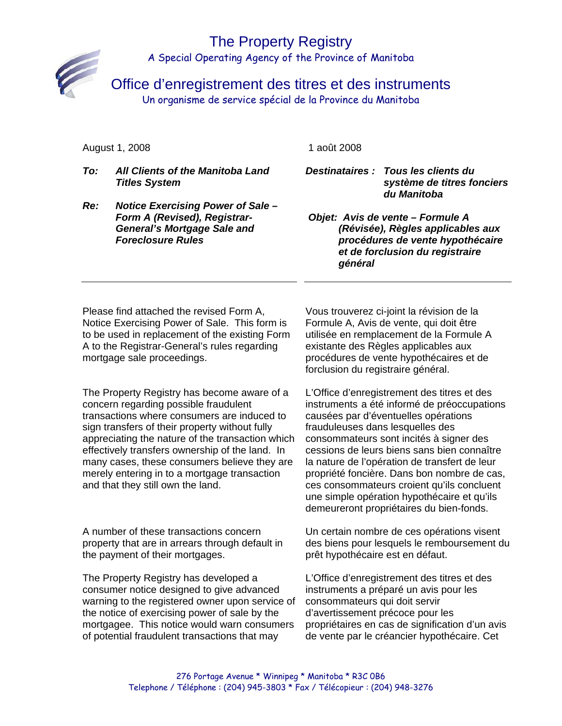## The Property Registry A Special Operating Agency of the Province of Manitoba



Office d'enregistrement des titres et des instruments

Un organisme de service spécial de la Province du Manitoba

#### August 1, 2008

1 août 2008

- *To: All Clients of the Manitoba Land Titles System Re: Notice Exercising Power of Sale – Destinataires : Tous les clients du système de titres fonciers du Manitoba* 
	- *Objet: Avis de vente Formule A (Révisée), Règles applicables aux procédures de vente hypothécaire et de forclusion du registraire général*

Please find attached the revised Form A, Notice Exercising Power of Sale. This form is to be used in replacement of the existing Form A to the Registrar-General's rules regarding mortgage sale proceedings.

*Form A (Revised), Registrar-General's Mortgage Sale and* 

*Foreclosure Rules* 

The Property Registry has become aware of a concern regarding possible fraudulent transactions where consumers are induced to sign transfers of their property without fully appreciating the nature of the transaction which effectively transfers ownership of the land. In many cases, these consumers believe they are merely entering in to a mortgage transaction and that they still own the land.

A number of these transactions concern property that are in arrears through default in the payment of their mortgages.

The Property Registry has developed a consumer notice designed to give advanced warning to the registered owner upon service of the notice of exercising power of sale by the mortgagee. This notice would warn consumers of potential fraudulent transactions that may

Vous trouverez ci-joint la révision de la Formule A, Avis de vente, qui doit être utilisée en remplacement de la Formule A existante des Règles applicables aux procédures de vente hypothécaires et de forclusion du registraire général.

L'Office d'enregistrement des titres et des instruments a été informé de préoccupations causées par d'éventuelles opérations frauduleuses dans lesquelles des consommateurs sont incités à signer des cessions de leurs biens sans bien connaître la nature de l'opération de transfert de leur propriété foncière. Dans bon nombre de cas, ces consommateurs croient qu'ils concluent une simple opération hypothécaire et qu'ils demeureront propriétaires du bien-fonds.

Un certain nombre de ces opérations visent des biens pour lesquels le remboursement du prêt hypothécaire est en défaut.

L'Office d'enregistrement des titres et des instruments a préparé un avis pour les consommateurs qui doit servir d'avertissement précoce pour les propriétaires en cas de signification d'un avis de vente par le créancier hypothécaire. Cet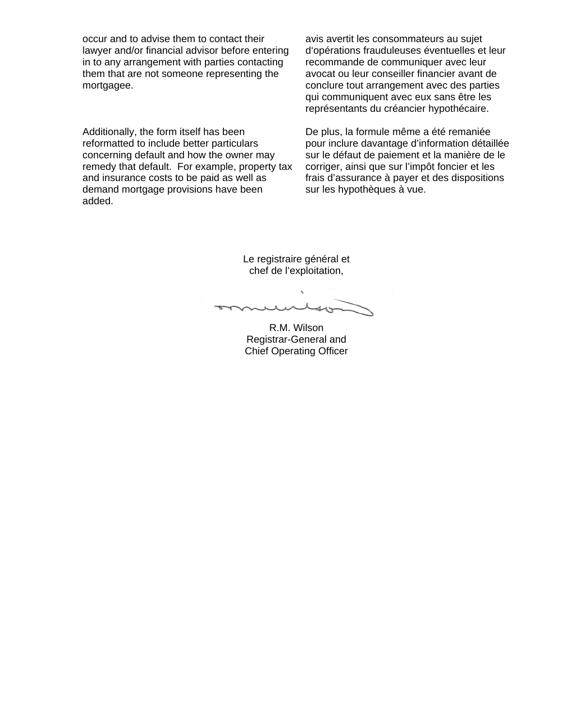occur and to advise them to contact their lawyer and/or financial advisor before entering in to any arrangement with parties contacting them that are not someone representing the mortgagee.

Additionally, the form itself has been reformatted to include better particulars concerning default and how the owner may remedy that default. For example, property tax and insurance costs to be paid as well as demand mortgage provisions have been added.

avis avertit les consommateurs au sujet d'opérations frauduleuses éventuelles et leur recommande de communiquer avec leur avocat ou leur conseiller financier avant de conclure tout arrangement avec des parties qui communiquent avec eux sans être les représentants du créancier hypothécaire.

De plus, la formule même a été remaniée pour inclure davantage d'information détaillée sur le défaut de paiement et la manière de le corriger, ainsi que sur l'impôt foncier et les frais d'assurance à payer et des dispositions sur les hypothèques à vue.

Le registraire général et chef de l'exploitation,

 $40$ ww

R.M. Wilson Registrar-General and Chief Operating Officer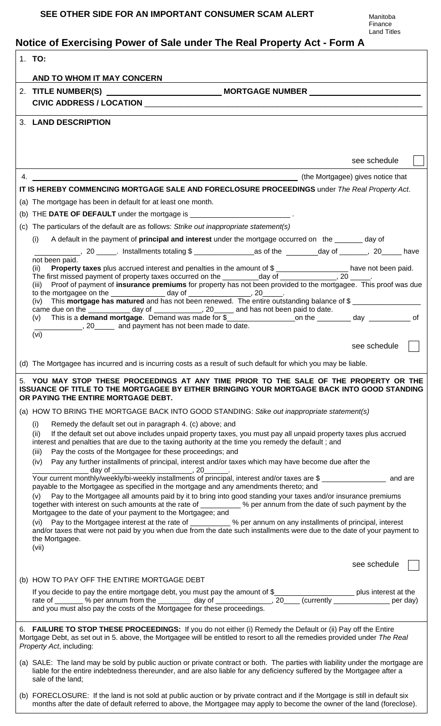# **Notice of Exercising Power of Sale under The Real Property Act - Form A**

|                                                                                                                                                                                                                                                                         | 1. TO:                                                                                                                                                                                                                                                                          |  |  |  |
|-------------------------------------------------------------------------------------------------------------------------------------------------------------------------------------------------------------------------------------------------------------------------|---------------------------------------------------------------------------------------------------------------------------------------------------------------------------------------------------------------------------------------------------------------------------------|--|--|--|
|                                                                                                                                                                                                                                                                         | AND TO WHOM IT MAY CONCERN                                                                                                                                                                                                                                                      |  |  |  |
|                                                                                                                                                                                                                                                                         |                                                                                                                                                                                                                                                                                 |  |  |  |
|                                                                                                                                                                                                                                                                         |                                                                                                                                                                                                                                                                                 |  |  |  |
|                                                                                                                                                                                                                                                                         | 3. LAND DESCRIPTION                                                                                                                                                                                                                                                             |  |  |  |
|                                                                                                                                                                                                                                                                         |                                                                                                                                                                                                                                                                                 |  |  |  |
|                                                                                                                                                                                                                                                                         |                                                                                                                                                                                                                                                                                 |  |  |  |
|                                                                                                                                                                                                                                                                         | see schedule                                                                                                                                                                                                                                                                    |  |  |  |
|                                                                                                                                                                                                                                                                         |                                                                                                                                                                                                                                                                                 |  |  |  |
|                                                                                                                                                                                                                                                                         | IT IS HEREBY COMMENCING MORTGAGE SALE AND FORECLOSURE PROCEEDINGS under The Real Property Act.                                                                                                                                                                                  |  |  |  |
|                                                                                                                                                                                                                                                                         | (a) The mortgage has been in default for at least one month.                                                                                                                                                                                                                    |  |  |  |
|                                                                                                                                                                                                                                                                         | (b) THE DATE OF DEFAULT under the mortgage is ___________________________.                                                                                                                                                                                                      |  |  |  |
|                                                                                                                                                                                                                                                                         | (c) The particulars of the default are as follows: Strike out inappropriate statement(s)                                                                                                                                                                                        |  |  |  |
|                                                                                                                                                                                                                                                                         | A default in the payment of <b>principal and interest</b> under the mortgage occurred on the same day of<br>(i)                                                                                                                                                                 |  |  |  |
|                                                                                                                                                                                                                                                                         | not been paid.                                                                                                                                                                                                                                                                  |  |  |  |
|                                                                                                                                                                                                                                                                         | <b>Property taxes</b> plus accrued interest and penalties in the amount of \$ ____________________ have not been paid.<br>irst missed payment of property taxes occurred on the __________day of _______________, 20 _____.<br>(ii)                                             |  |  |  |
|                                                                                                                                                                                                                                                                         | The first missed payment of property taxes occurred on the _________day of ____________<br>Proof of payment of insurance premiums for property has not been provided to the mortgagee. This proof was due<br>(iii)                                                              |  |  |  |
|                                                                                                                                                                                                                                                                         | to the mortgagee on the _____________________day of _____________________________<br>(iv) This <b>mortgage has matured</b> and has not been renewed. The entire outstanding balance of \$                                                                                       |  |  |  |
|                                                                                                                                                                                                                                                                         | came due on the _____________ day of ______________, 20_______ and has not been paid to date.                                                                                                                                                                                   |  |  |  |
|                                                                                                                                                                                                                                                                         |                                                                                                                                                                                                                                                                                 |  |  |  |
|                                                                                                                                                                                                                                                                         | 20 and payment has not been made to date.<br>(vi)                                                                                                                                                                                                                               |  |  |  |
|                                                                                                                                                                                                                                                                         | see schedule                                                                                                                                                                                                                                                                    |  |  |  |
|                                                                                                                                                                                                                                                                         | (d) The Mortgagee has incurred and is incurring costs as a result of such default for which you may be liable.                                                                                                                                                                  |  |  |  |
| 5. YOU MAY STOP THESE PROCEEDINGS AT ANY TIME PRIOR TO THE SALE OF THE PROPERTY OR THE<br>ISSUANCE OF TITLE TO THE MORTGAGEE BY EITHER BRINGING YOUR MORTGAGE BACK INTO GOOD STANDING<br>OR PAYING THE ENTIRE MORTGAGE DEBT.                                            |                                                                                                                                                                                                                                                                                 |  |  |  |
|                                                                                                                                                                                                                                                                         | (a) HOW TO BRING THE MORTGAGE BACK INTO GOOD STANDING: Stike out inappropriate statement(s)                                                                                                                                                                                     |  |  |  |
|                                                                                                                                                                                                                                                                         | (i)<br>Remedy the default set out in paragraph 4. (c) above; and                                                                                                                                                                                                                |  |  |  |
|                                                                                                                                                                                                                                                                         | If the default set out above includes unpaid property taxes, you must pay all unpaid property taxes plus accrued<br>(ii)<br>interest and penalties that are due to the taxing authority at the time you remedy the default; and                                                 |  |  |  |
|                                                                                                                                                                                                                                                                         | Pay the costs of the Mortgagee for these proceedings; and<br>(iii)                                                                                                                                                                                                              |  |  |  |
|                                                                                                                                                                                                                                                                         | Pay any further installments of principal, interest and/or taxes which may have become due after the<br>(iv)<br>_day of ___________________________, 20_                                                                                                                        |  |  |  |
|                                                                                                                                                                                                                                                                         | Your current monthly/weekly/bi-weekly installments of principal, interest and/or taxes are \$_________________ and are                                                                                                                                                          |  |  |  |
|                                                                                                                                                                                                                                                                         | payable to the Mortgagee as specified in the mortgage and any amendments thereto; and<br>Pay to the Mortgagee all amounts paid by it to bring into good standing your taxes and/or insurance premiums<br>(v)                                                                    |  |  |  |
|                                                                                                                                                                                                                                                                         | together with interest on such amounts at the rate of __________ % per annum from the date of such payment by the                                                                                                                                                               |  |  |  |
|                                                                                                                                                                                                                                                                         | Mortgagee to the date of your payment to the Mortgagee; and<br>(vi) Pay to the Mortgagee interest at the rate of __________ % per annum on any installments of principal, interest                                                                                              |  |  |  |
|                                                                                                                                                                                                                                                                         | and/or taxes that were not paid by you when due from the date such installments were due to the date of your payment to                                                                                                                                                         |  |  |  |
|                                                                                                                                                                                                                                                                         | the Mortgagee.<br>(vii)                                                                                                                                                                                                                                                         |  |  |  |
|                                                                                                                                                                                                                                                                         |                                                                                                                                                                                                                                                                                 |  |  |  |
|                                                                                                                                                                                                                                                                         | see schedule                                                                                                                                                                                                                                                                    |  |  |  |
|                                                                                                                                                                                                                                                                         | (b) HOW TO PAY OFF THE ENTIRE MORTGAGE DEBT                                                                                                                                                                                                                                     |  |  |  |
|                                                                                                                                                                                                                                                                         | rate of ________ % per annum from the _________ day of ______________, 20____ (currently _______________ per day)                                                                                                                                                               |  |  |  |
|                                                                                                                                                                                                                                                                         | and you must also pay the costs of the Mortgagee for these proceedings.                                                                                                                                                                                                         |  |  |  |
| 6. FAILURE TO STOP THESE PROCEEDINGS: If you do not either (i) Remedy the Default or (ii) Pay off the Entire<br>Mortgage Debt, as set out in 5. above, the Mortgagee will be entitled to resort to all the remedies provided under The Real<br>Property Act, including: |                                                                                                                                                                                                                                                                                 |  |  |  |
|                                                                                                                                                                                                                                                                         | (a) SALE: The land may be sold by public auction or private contract or both. The parties with liability under the mortgage are<br>liable for the entire indebtedness thereunder, and are also liable for any deficiency suffered by the Mortgagee after a<br>sale of the land; |  |  |  |
|                                                                                                                                                                                                                                                                         | (b) FORECLOSURE: If the land is not sold at public auction or by private contract and if the Mortgage is still in default six                                                                                                                                                   |  |  |  |

months after the date of default referred to above, the Mortgagee may apply to become the owner of the land (foreclose).